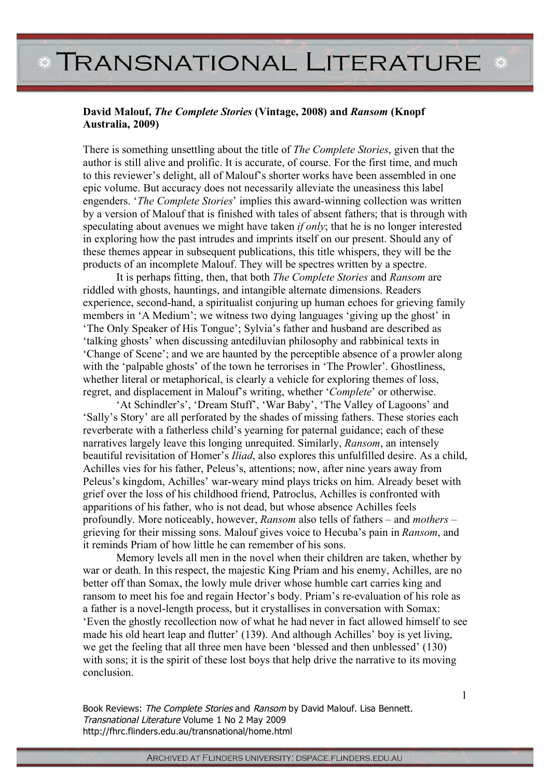## **\* TRANSNATIONAL LITERATURE \***

## **David Malouf,** *The Complete Stories* **(Vintage, 2008) and** *Ransom* **(Knopf Australia, 2009)**

There is something unsettling about the title of *The Complete Stories*, given that the author is still alive and prolific. It is accurate, of course. For the first time, and much to this reviewer's delight, all of Malouf's shorter works have been assembled in one epic volume. But accuracy does not necessarily alleviate the uneasiness this label engenders. '*The Complete Stories*' implies this award-winning collection was written by a version of Malouf that is finished with tales of absent fathers; that is through with speculating about avenues we might have taken *if only*; that he is no longer interested in exploring how the past intrudes and imprints itself on our present. Should any of these themes appear in subsequent publications, this title whispers, they will be the products of an incomplete Malouf. They will be spectres written by a spectre.

It is perhaps fitting, then, that both *The Complete Stories* and *Ransom* are riddled with ghosts, hauntings, and intangible alternate dimensions. Readers experience, second-hand, a spiritualist conjuring up human echoes for grieving family members in 'A Medium'; we witness two dying languages 'giving up the ghost' in 'The Only Speaker of His Tongue'; Sylvia's father and husband are described as 'talking ghosts' when discussing antediluvian philosophy and rabbinical texts in 'Change of Scene'; and we are haunted by the perceptible absence of a prowler along with the 'palpable ghosts' of the town he terrorises in 'The Prowler'. Ghostliness, whether literal or metaphorical, is clearly a vehicle for exploring themes of loss, regret, and displacement in Malouf's writing, whether '*Complete*' or otherwise.

'At Schindler's', 'Dream Stuff', 'War Baby', 'The Valley of Lagoons' and 'Sally's Story' are all perforated by the shades of missing fathers. These stories each reverberate with a fatherless child's yearning for paternal guidance; each of these narratives largely leave this longing unrequited. Similarly, *Ransom*, an intensely beautiful revisitation of Homer's *Iliad*, also explores this unfulfilled desire. As a child, Achilles vies for his father, Peleus's, attentions; now, after nine years away from Peleus's kingdom, Achilles' war-weary mind plays tricks on him. Already beset with grief over the loss of his childhood friend, Patroclus, Achilles is confronted with apparitions of his father, who is not dead, but whose absence Achilles feels profoundly. More noticeably, however, *Ransom* also tells of fathers – and *mothers* – grieving for their missing sons. Malouf gives voice to Hecuba's pain in *Ransom*, and it reminds Priam of how little he can remember of his sons.

Memory levels all men in the novel when their children are taken, whether by war or death. In this respect, the majestic King Priam and his enemy, Achilles, are no better off than Somax, the lowly mule driver whose humble cart carries king and ransom to meet his foe and regain Hector's body. Priam's re-evaluation of his role as a father is a novel-length process, but it crystallises in conversation with Somax: 'Even the ghostly recollection now of what he had never in fact allowed himself to see made his old heart leap and flutter' (139). And although Achilles' boy is yet living, we get the feeling that all three men have been 'blessed and then unblessed' (130) with sons; it is the spirit of these lost boys that help drive the narrative to its moving conclusion.

Book Reviews: The Complete Stories and Ransom by David Malouf. Lisa Bennett. Transnational Literature Volume 1 No 2 May 2009 http://fhrc.flinders.edu.au/transnational/home.html

1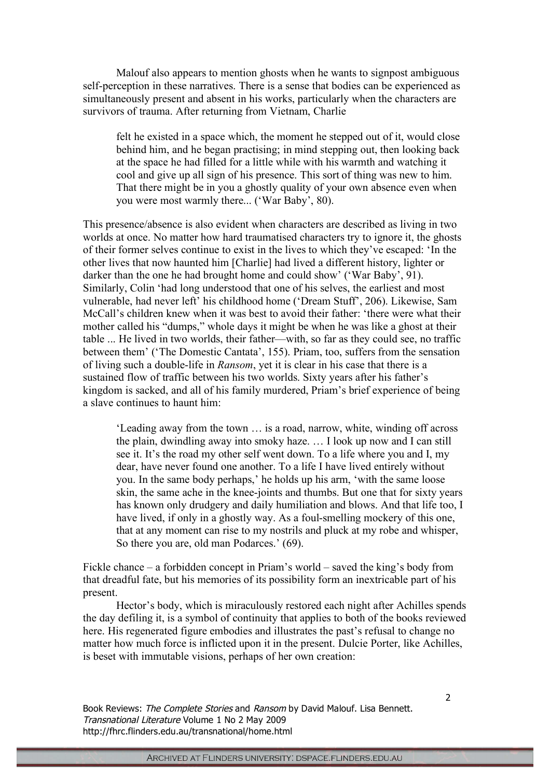Malouf also appears to mention ghosts when he wants to signpost ambiguous self-perception in these narratives. There is a sense that bodies can be experienced as simultaneously present and absent in his works, particularly when the characters are survivors of trauma. After returning from Vietnam, Charlie

felt he existed in a space which, the moment he stepped out of it, would close behind him, and he began practising; in mind stepping out, then looking back at the space he had filled for a little while with his warmth and watching it cool and give up all sign of his presence. This sort of thing was new to him. That there might be in you a ghostly quality of your own absence even when you were most warmly there... ('War Baby', 80).

This presence/absence is also evident when characters are described as living in two worlds at once. No matter how hard traumatised characters try to ignore it, the ghosts of their former selves continue to exist in the lives to which they've escaped: 'In the other lives that now haunted him [Charlie] had lived a different history, lighter or darker than the one he had brought home and could show' ('War Baby', 91). Similarly, Colin 'had long understood that one of his selves, the earliest and most vulnerable, had never left' his childhood home ('Dream Stuff', 206). Likewise, Sam McCall's children knew when it was best to avoid their father: 'there were what their mother called his "dumps," whole days it might be when he was like a ghost at their table ... He lived in two worlds, their father—with, so far as they could see, no traffic between them' ('The Domestic Cantata', 155). Priam, too, suffers from the sensation of living such a double-life in *Ransom*, yet it is clear in his case that there is a sustained flow of traffic between his two worlds. Sixty years after his father's kingdom is sacked, and all of his family murdered, Priam's brief experience of being a slave continues to haunt him:

'Leading away from the town … is a road, narrow, white, winding off across the plain, dwindling away into smoky haze. … I look up now and I can still see it. It's the road my other self went down. To a life where you and I, my dear, have never found one another. To a life I have lived entirely without you. In the same body perhaps,' he holds up his arm, 'with the same loose skin, the same ache in the knee-joints and thumbs. But one that for sixty years has known only drudgery and daily humiliation and blows. And that life too, I have lived, if only in a ghostly way. As a foul-smelling mockery of this one, that at any moment can rise to my nostrils and pluck at my robe and whisper, So there you are, old man Podarces.' (69).

Fickle chance – a forbidden concept in Priam's world – saved the king's body from that dreadful fate, but his memories of its possibility form an inextricable part of his present.

Hector's body, which is miraculously restored each night after Achilles spends the day defiling it, is a symbol of continuity that applies to both of the books reviewed here. His regenerated figure embodies and illustrates the past's refusal to change no matter how much force is inflicted upon it in the present. Dulcie Porter, like Achilles, is beset with immutable visions, perhaps of her own creation:

Book Reviews: The Complete Stories and Ransom by David Malouf. Lisa Bennett. Transnational Literature Volume 1 No 2 May 2009 http://fhrc.flinders.edu.au/transnational/home.html